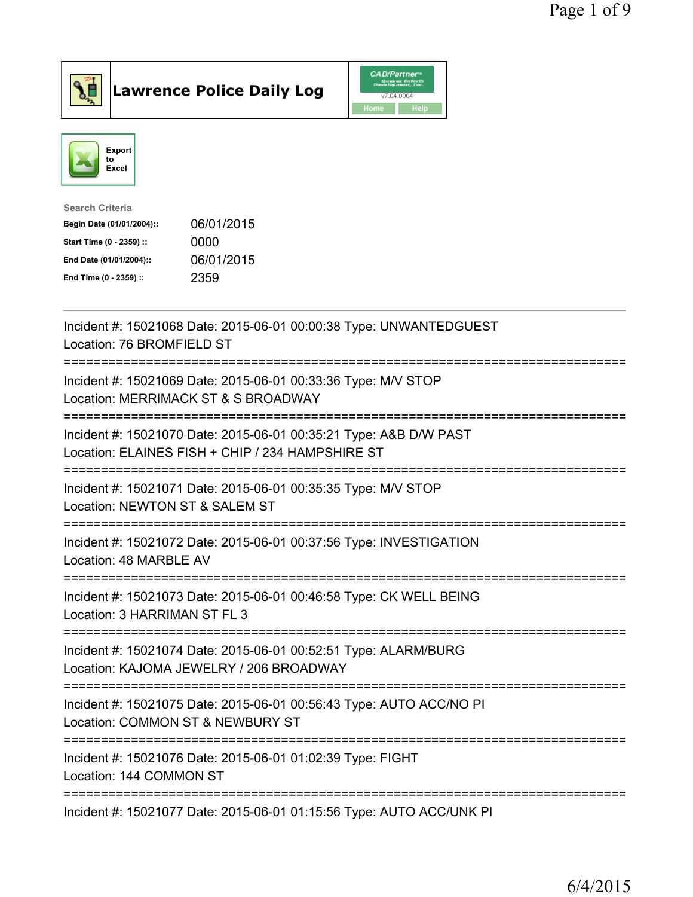

**Lawrence Police Daily Log** CAD/Partner



| <b>Search Criteria</b>    |            |
|---------------------------|------------|
| Begin Date (01/01/2004):: | 06/01/2015 |
| Start Time (0 - 2359) ::  | 0000       |
| End Date (01/01/2004)::   | 06/01/2015 |
| End Time (0 - 2359) ::    | 2359       |
|                           |            |

| Incident #: 15021068 Date: 2015-06-01 00:00:38 Type: UNWANTEDGUEST<br>Location: 76 BROMFIELD ST                                               |
|-----------------------------------------------------------------------------------------------------------------------------------------------|
| Incident #: 15021069 Date: 2015-06-01 00:33:36 Type: M/V STOP<br>Location: MERRIMACK ST & S BROADWAY                                          |
| Incident #: 15021070 Date: 2015-06-01 00:35:21 Type: A&B D/W PAST<br>Location: ELAINES FISH + CHIP / 234 HAMPSHIRE ST                         |
| ===================================<br>Incident #: 15021071 Date: 2015-06-01 00:35:35 Type: M/V STOP<br>Location: NEWTON ST & SALEM ST        |
| Incident #: 15021072 Date: 2015-06-01 00:37:56 Type: INVESTIGATION<br>Location: 48 MARBLE AV                                                  |
| Incident #: 15021073 Date: 2015-06-01 00:46:58 Type: CK WELL BEING<br>Location: 3 HARRIMAN ST FL 3                                            |
| Incident #: 15021074 Date: 2015-06-01 00:52:51 Type: ALARM/BURG<br>Location: KAJOMA JEWELRY / 206 BROADWAY                                    |
| ;=================================<br>Incident #: 15021075 Date: 2015-06-01 00:56:43 Type: AUTO ACC/NO PI<br>Location: COMMON ST & NEWBURY ST |
| ---------------------<br>Incident #: 15021076 Date: 2015-06-01 01:02:39 Type: FIGHT<br>Location: 144 COMMON ST                                |
| Incident #: 15021077 Date: 2015-06-01 01:15:56 Type: AUTO ACC/UNK PI                                                                          |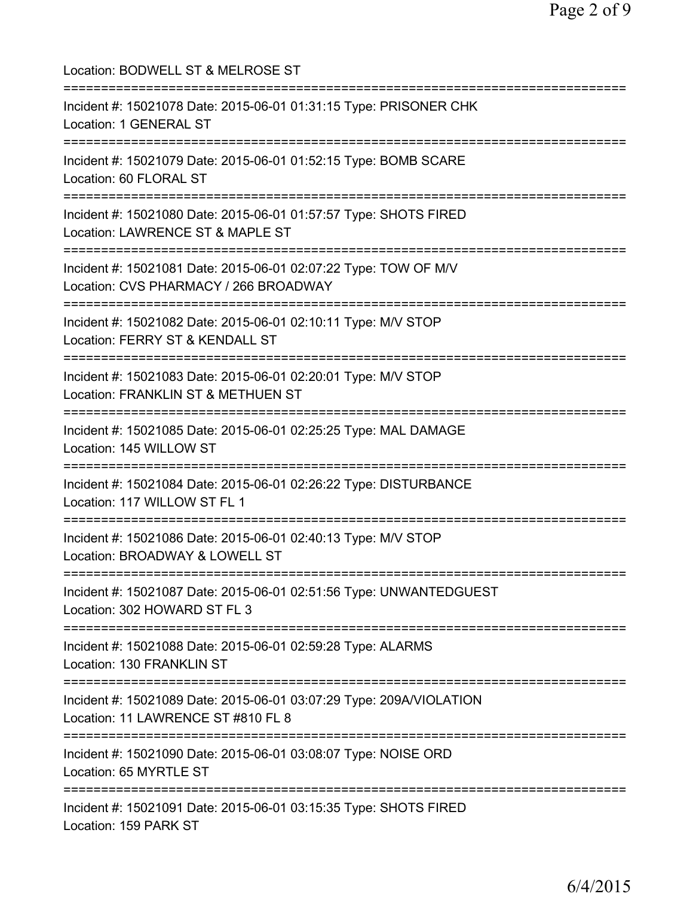| Location: BODWELL ST & MELROSE ST                                                                                                                                      |
|------------------------------------------------------------------------------------------------------------------------------------------------------------------------|
| Incident #: 15021078 Date: 2015-06-01 01:31:15 Type: PRISONER CHK<br>Location: 1 GENERAL ST<br>:===================                                                    |
| Incident #: 15021079 Date: 2015-06-01 01:52:15 Type: BOMB SCARE<br>Location: 60 FLORAL ST                                                                              |
| Incident #: 15021080 Date: 2015-06-01 01:57:57 Type: SHOTS FIRED<br>Location: LAWRENCE ST & MAPLE ST                                                                   |
| Incident #: 15021081 Date: 2015-06-01 02:07:22 Type: TOW OF M/V<br>Location: CVS PHARMACY / 266 BROADWAY                                                               |
| ===================================<br>Incident #: 15021082 Date: 2015-06-01 02:10:11 Type: M/V STOP<br>Location: FERRY ST & KENDALL ST<br>;========================== |
| Incident #: 15021083 Date: 2015-06-01 02:20:01 Type: M/V STOP<br>Location: FRANKLIN ST & METHUEN ST                                                                    |
| Incident #: 15021085 Date: 2015-06-01 02:25:25 Type: MAL DAMAGE<br>Location: 145 WILLOW ST                                                                             |
| Incident #: 15021084 Date: 2015-06-01 02:26:22 Type: DISTURBANCE<br>Location: 117 WILLOW ST FL 1                                                                       |
| Incident #: 15021086 Date: 2015-06-01 02:40:13 Type: M/V STOP<br>Location: BROADWAY & LOWELL ST                                                                        |
| Incident #: 15021087 Date: 2015-06-01 02:51:56 Type: UNWANTEDGUEST<br>Location: 302 HOWARD ST FL 3                                                                     |
| Incident #: 15021088 Date: 2015-06-01 02:59:28 Type: ALARMS<br>Location: 130 FRANKLIN ST                                                                               |
| Incident #: 15021089 Date: 2015-06-01 03:07:29 Type: 209A/VIOLATION<br>Location: 11 LAWRENCE ST #810 FL 8                                                              |
| Incident #: 15021090 Date: 2015-06-01 03:08:07 Type: NOISE ORD<br>Location: 65 MYRTLE ST                                                                               |
| ======================<br>Incident #: 15021091 Date: 2015-06-01 03:15:35 Type: SHOTS FIRED<br>Location: 159 PARK ST                                                    |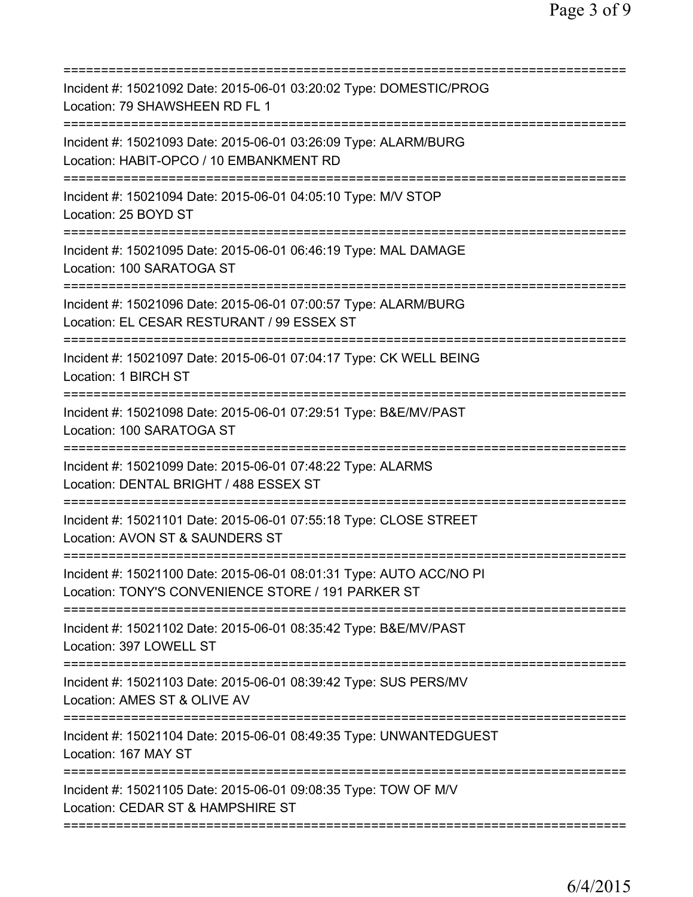| Incident #: 15021092 Date: 2015-06-01 03:20:02 Type: DOMESTIC/PROG<br>Location: 79 SHAWSHEEN RD FL 1<br>==========================               |
|--------------------------------------------------------------------------------------------------------------------------------------------------|
| Incident #: 15021093 Date: 2015-06-01 03:26:09 Type: ALARM/BURG<br>Location: HABIT-OPCO / 10 EMBANKMENT RD<br>================================== |
| Incident #: 15021094 Date: 2015-06-01 04:05:10 Type: M/V STOP<br>Location: 25 BOYD ST                                                            |
| Incident #: 15021095 Date: 2015-06-01 06:46:19 Type: MAL DAMAGE<br>Location: 100 SARATOGA ST                                                     |
| Incident #: 15021096 Date: 2015-06-01 07:00:57 Type: ALARM/BURG<br>Location: EL CESAR RESTURANT / 99 ESSEX ST                                    |
| Incident #: 15021097 Date: 2015-06-01 07:04:17 Type: CK WELL BEING<br>Location: 1 BIRCH ST<br>============                                       |
| Incident #: 15021098 Date: 2015-06-01 07:29:51 Type: B&E/MV/PAST<br>Location: 100 SARATOGA ST                                                    |
| Incident #: 15021099 Date: 2015-06-01 07:48:22 Type: ALARMS<br>Location: DENTAL BRIGHT / 488 ESSEX ST<br>============================            |
| Incident #: 15021101 Date: 2015-06-01 07:55:18 Type: CLOSE STREET<br>Location: AVON ST & SAUNDERS ST                                             |
| Incident #: 15021100 Date: 2015-06-01 08:01:31 Type: AUTO ACC/NO PI<br>Location: TONY'S CONVENIENCE STORE / 191 PARKER ST                        |
| Incident #: 15021102 Date: 2015-06-01 08:35:42 Type: B&E/MV/PAST<br>Location: 397 LOWELL ST                                                      |
| Incident #: 15021103 Date: 2015-06-01 08:39:42 Type: SUS PERS/MV<br>Location: AMES ST & OLIVE AV                                                 |
| Incident #: 15021104 Date: 2015-06-01 08:49:35 Type: UNWANTEDGUEST<br>Location: 167 MAY ST                                                       |
| Incident #: 15021105 Date: 2015-06-01 09:08:35 Type: TOW OF M/V<br>Location: CEDAR ST & HAMPSHIRE ST                                             |
|                                                                                                                                                  |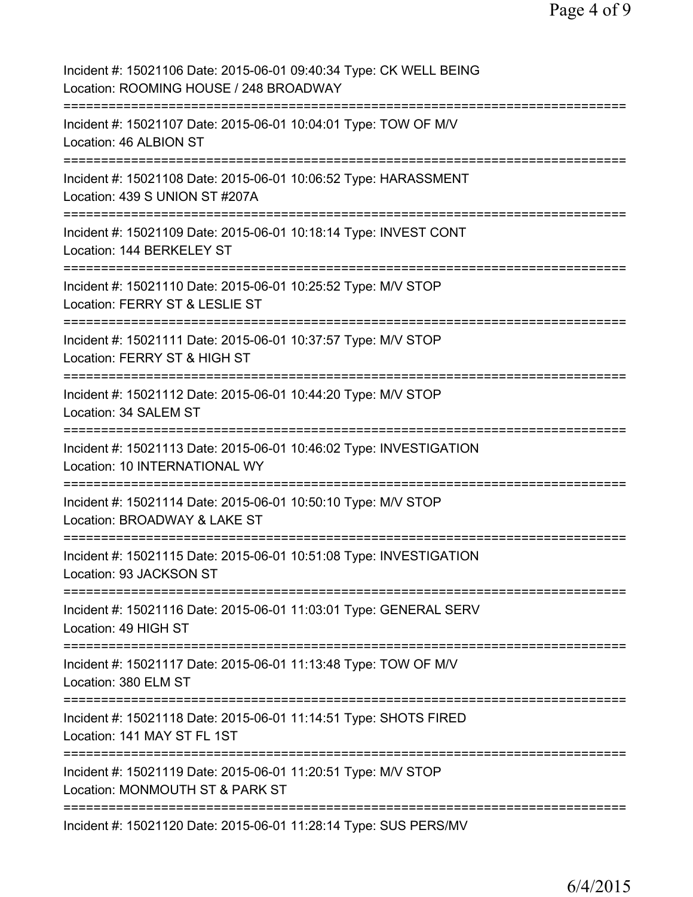| Incident #: 15021106 Date: 2015-06-01 09:40:34 Type: CK WELL BEING<br>Location: ROOMING HOUSE / 248 BROADWAY                                      |
|---------------------------------------------------------------------------------------------------------------------------------------------------|
| Incident #: 15021107 Date: 2015-06-01 10:04:01 Type: TOW OF M/V<br>Location: 46 ALBION ST                                                         |
| Incident #: 15021108 Date: 2015-06-01 10:06:52 Type: HARASSMENT<br>Location: 439 S UNION ST #207A                                                 |
| Incident #: 15021109 Date: 2015-06-01 10:18:14 Type: INVEST CONT<br>Location: 144 BERKELEY ST<br>====================================             |
| Incident #: 15021110 Date: 2015-06-01 10:25:52 Type: M/V STOP<br>Location: FERRY ST & LESLIE ST                                                   |
| Incident #: 15021111 Date: 2015-06-01 10:37:57 Type: M/V STOP<br>Location: FERRY ST & HIGH ST                                                     |
| Incident #: 15021112 Date: 2015-06-01 10:44:20 Type: M/V STOP<br>Location: 34 SALEM ST<br>.---------------------------------                      |
| Incident #: 15021113 Date: 2015-06-01 10:46:02 Type: INVESTIGATION<br>Location: 10 INTERNATIONAL WY                                               |
| Incident #: 15021114 Date: 2015-06-01 10:50:10 Type: M/V STOP<br>Location: BROADWAY & LAKE ST                                                     |
| Incident #: 15021115 Date: 2015-06-01 10:51:08 Type: INVESTIGATION<br>Location: 93 JACKSON ST                                                     |
| Incident #: 15021116 Date: 2015-06-01 11:03:01 Type: GENERAL SERV<br>Location: 49 HIGH ST                                                         |
| Incident #: 15021117 Date: 2015-06-01 11:13:48 Type: TOW OF M/V<br>Location: 380 ELM ST<br>---------                                              |
| Incident #: 15021118 Date: 2015-06-01 11:14:51 Type: SHOTS FIRED<br>Location: 141 MAY ST FL 1ST<br>================<br>========================== |
| Incident #: 15021119 Date: 2015-06-01 11:20:51 Type: M/V STOP<br>Location: MONMOUTH ST & PARK ST                                                  |
| Incident #: 15021120 Date: 2015-06-01 11:28:14 Type: SUS PERS/MV                                                                                  |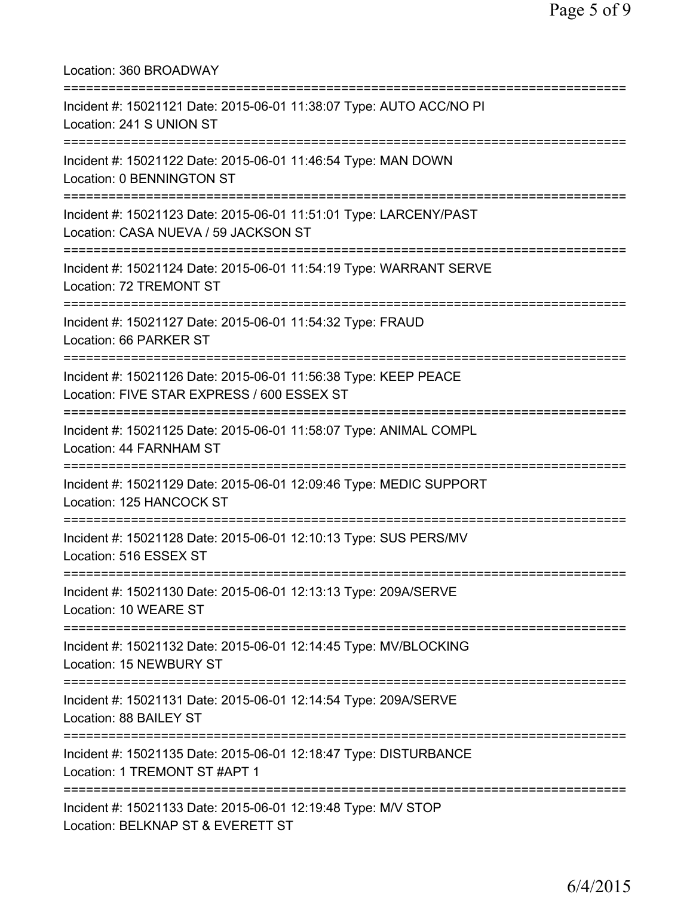| Location: 360 BROADWAY                                                                                                                        |
|-----------------------------------------------------------------------------------------------------------------------------------------------|
| Incident #: 15021121 Date: 2015-06-01 11:38:07 Type: AUTO ACC/NO PI<br>Location: 241 S UNION ST<br>:=========================                 |
| Incident #: 15021122 Date: 2015-06-01 11:46:54 Type: MAN DOWN<br>Location: 0 BENNINGTON ST<br>======================                          |
| Incident #: 15021123 Date: 2015-06-01 11:51:01 Type: LARCENY/PAST<br>Location: CASA NUEVA / 59 JACKSON ST<br>================================ |
| Incident #: 15021124 Date: 2015-06-01 11:54:19 Type: WARRANT SERVE<br>Location: 72 TREMONT ST                                                 |
| Incident #: 15021127 Date: 2015-06-01 11:54:32 Type: FRAUD<br>Location: 66 PARKER ST                                                          |
| Incident #: 15021126 Date: 2015-06-01 11:56:38 Type: KEEP PEACE<br>Location: FIVE STAR EXPRESS / 600 ESSEX ST                                 |
| Incident #: 15021125 Date: 2015-06-01 11:58:07 Type: ANIMAL COMPL<br>Location: 44 FARNHAM ST                                                  |
| Incident #: 15021129 Date: 2015-06-01 12:09:46 Type: MEDIC SUPPORT<br>Location: 125 HANCOCK ST                                                |
| Incident #: 15021128 Date: 2015-06-01 12:10:13 Type: SUS PERS/MV<br>Location: 516 ESSEX ST                                                    |
| Incident #: 15021130 Date: 2015-06-01 12:13:13 Type: 209A/SERVE<br>Location: 10 WEARE ST                                                      |
| Incident #: 15021132 Date: 2015-06-01 12:14:45 Type: MV/BLOCKING<br>Location: 15 NEWBURY ST                                                   |
| Incident #: 15021131 Date: 2015-06-01 12:14:54 Type: 209A/SERVE<br>Location: 88 BAILEY ST                                                     |
| Incident #: 15021135 Date: 2015-06-01 12:18:47 Type: DISTURBANCE<br>Location: 1 TREMONT ST #APT 1                                             |
| Incident #: 15021133 Date: 2015-06-01 12:19:48 Type: M/V STOP<br>Location: BELKNAP ST & EVERETT ST                                            |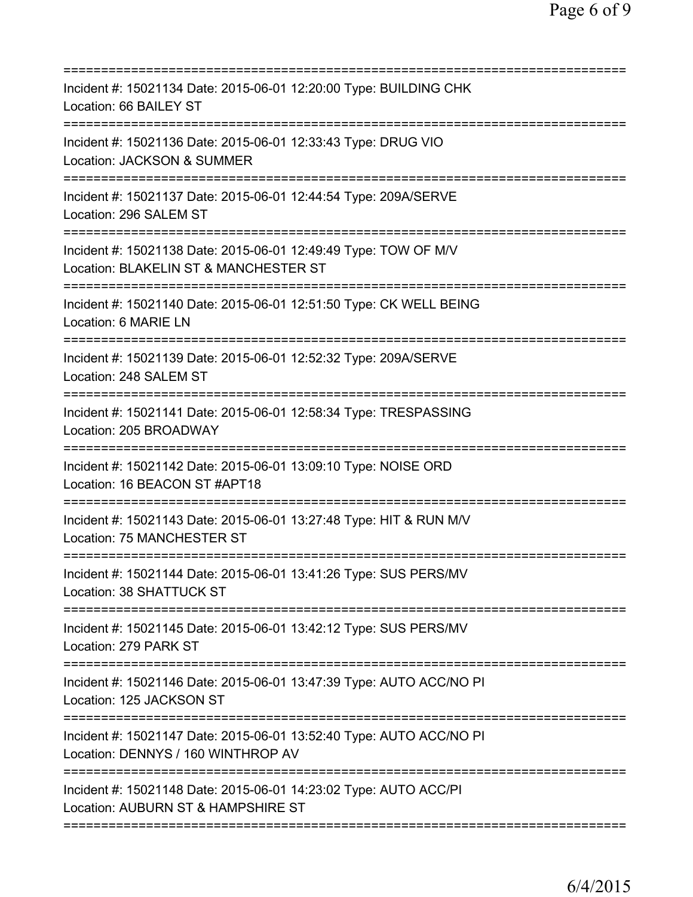| Incident #: 15021134 Date: 2015-06-01 12:20:00 Type: BUILDING CHK<br>Location: 66 BAILEY ST                                                      |
|--------------------------------------------------------------------------------------------------------------------------------------------------|
| Incident #: 15021136 Date: 2015-06-01 12:33:43 Type: DRUG VIO<br>Location: JACKSON & SUMMER                                                      |
| Incident #: 15021137 Date: 2015-06-01 12:44:54 Type: 209A/SERVE<br>Location: 296 SALEM ST                                                        |
| Incident #: 15021138 Date: 2015-06-01 12:49:49 Type: TOW OF M/V<br>Location: BLAKELIN ST & MANCHESTER ST<br>==================================== |
| Incident #: 15021140 Date: 2015-06-01 12:51:50 Type: CK WELL BEING<br>Location: 6 MARIE LN                                                       |
| Incident #: 15021139 Date: 2015-06-01 12:52:32 Type: 209A/SERVE<br>Location: 248 SALEM ST                                                        |
| Incident #: 15021141 Date: 2015-06-01 12:58:34 Type: TRESPASSING<br>Location: 205 BROADWAY                                                       |
| Incident #: 15021142 Date: 2015-06-01 13:09:10 Type: NOISE ORD<br>Location: 16 BEACON ST #APT18                                                  |
| ====================<br>Incident #: 15021143 Date: 2015-06-01 13:27:48 Type: HIT & RUN M/V<br>Location: 75 MANCHESTER ST                         |
| Incident #: 15021144 Date: 2015-06-01 13:41:26 Type: SUS PERS/MV<br>Location: 38 SHATTUCK ST                                                     |
| ====================================<br>Incident #: 15021145 Date: 2015-06-01 13:42:12 Type: SUS PERS/MV<br>Location: 279 PARK ST                |
| Incident #: 15021146 Date: 2015-06-01 13:47:39 Type: AUTO ACC/NO PI<br>Location: 125 JACKSON ST<br>======================================        |
| Incident #: 15021147 Date: 2015-06-01 13:52:40 Type: AUTO ACC/NO PI<br>Location: DENNYS / 160 WINTHROP AV                                        |
| Incident #: 15021148 Date: 2015-06-01 14:23:02 Type: AUTO ACC/PI<br>Location: AUBURN ST & HAMPSHIRE ST                                           |
|                                                                                                                                                  |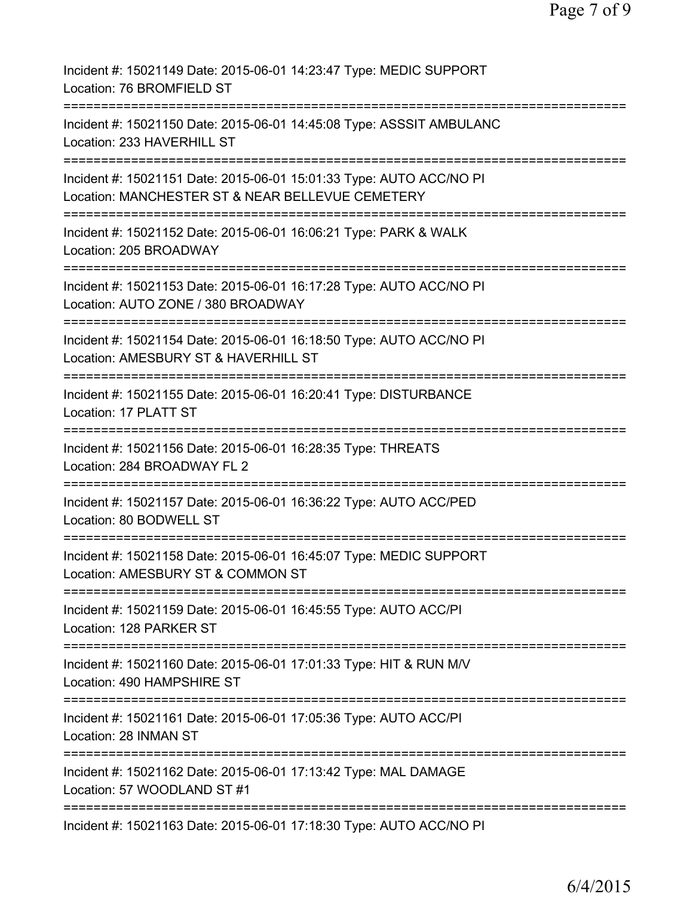| Incident #: 15021149 Date: 2015-06-01 14:23:47 Type: MEDIC SUPPORT<br>Location: 76 BROMFIELD ST                         |
|-------------------------------------------------------------------------------------------------------------------------|
| Incident #: 15021150 Date: 2015-06-01 14:45:08 Type: ASSSIT AMBULANC<br>Location: 233 HAVERHILL ST                      |
| Incident #: 15021151 Date: 2015-06-01 15:01:33 Type: AUTO ACC/NO PI<br>Location: MANCHESTER ST & NEAR BELLEVUE CEMETERY |
| Incident #: 15021152 Date: 2015-06-01 16:06:21 Type: PARK & WALK<br>Location: 205 BROADWAY                              |
| Incident #: 15021153 Date: 2015-06-01 16:17:28 Type: AUTO ACC/NO PI<br>Location: AUTO ZONE / 380 BROADWAY               |
| Incident #: 15021154 Date: 2015-06-01 16:18:50 Type: AUTO ACC/NO PI<br>Location: AMESBURY ST & HAVERHILL ST             |
| Incident #: 15021155 Date: 2015-06-01 16:20:41 Type: DISTURBANCE<br>Location: 17 PLATT ST                               |
| Incident #: 15021156 Date: 2015-06-01 16:28:35 Type: THREATS<br>Location: 284 BROADWAY FL 2                             |
| Incident #: 15021157 Date: 2015-06-01 16:36:22 Type: AUTO ACC/PED<br>Location: 80 BODWELL ST                            |
| Incident #: 15021158 Date: 2015-06-01 16:45:07 Type: MEDIC SUPPORT<br>Location: AMESBURY ST & COMMON ST                 |
| Incident #: 15021159 Date: 2015-06-01 16:45:55 Type: AUTO ACC/PI<br>Location: 128 PARKER ST                             |
| Incident #: 15021160 Date: 2015-06-01 17:01:33 Type: HIT & RUN M/V<br>Location: 490 HAMPSHIRE ST                        |
| Incident #: 15021161 Date: 2015-06-01 17:05:36 Type: AUTO ACC/PI<br>Location: 28 INMAN ST                               |
| Incident #: 15021162 Date: 2015-06-01 17:13:42 Type: MAL DAMAGE<br>Location: 57 WOODLAND ST #1                          |
| Incident #: 15021163 Date: 2015-06-01 17:18:30 Type: AUTO ACC/NO PI                                                     |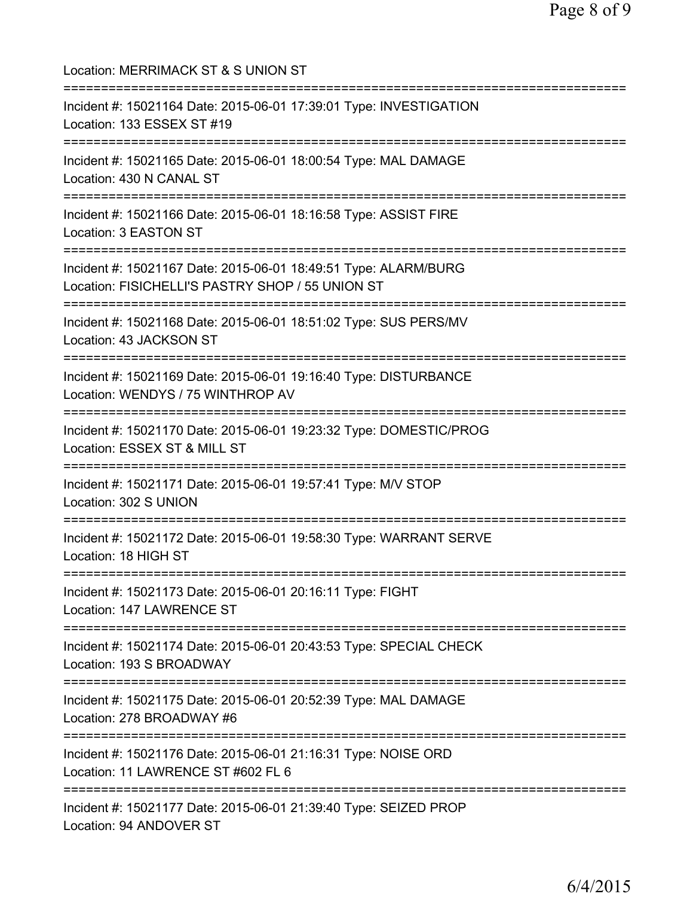Location: MERRIMACK ST & S UNION ST =========================================================================== Incident #: 15021164 Date: 2015-06-01 17:39:01 Type: INVESTIGATION Location: 133 ESSEX ST #19 =========================================================================== Incident #: 15021165 Date: 2015-06-01 18:00:54 Type: MAL DAMAGE Location: 430 N CANAL ST =========================================================================== Incident #: 15021166 Date: 2015-06-01 18:16:58 Type: ASSIST FIRE Location: 3 EASTON ST =========================================================================== Incident #: 15021167 Date: 2015-06-01 18:49:51 Type: ALARM/BURG Location: FISICHELLI'S PASTRY SHOP / 55 UNION ST =========================================================================== Incident #: 15021168 Date: 2015-06-01 18:51:02 Type: SUS PERS/MV Location: 43 JACKSON ST =========================================================================== Incident #: 15021169 Date: 2015-06-01 19:16:40 Type: DISTURBANCE Location: WENDYS / 75 WINTHROP AV =========================================================================== Incident #: 15021170 Date: 2015-06-01 19:23:32 Type: DOMESTIC/PROG Location: ESSEX ST & MILL ST =========================================================================== Incident #: 15021171 Date: 2015-06-01 19:57:41 Type: M/V STOP Location: 302 S UNION =========================================================================== Incident #: 15021172 Date: 2015-06-01 19:58:30 Type: WARRANT SERVE Location: 18 HIGH ST =========================================================================== Incident #: 15021173 Date: 2015-06-01 20:16:11 Type: FIGHT Location: 147 LAWRENCE ST =========================================================================== Incident #: 15021174 Date: 2015-06-01 20:43:53 Type: SPECIAL CHECK Location: 193 S BROADWAY =========================================================================== Incident #: 15021175 Date: 2015-06-01 20:52:39 Type: MAL DAMAGE Location: 278 BROADWAY #6 =========================================================================== Incident #: 15021176 Date: 2015-06-01 21:16:31 Type: NOISE ORD Location: 11 LAWRENCE ST #602 FL 6 =========================================================================== Incident #: 15021177 Date: 2015-06-01 21:39:40 Type: SEIZED PROP Location: 94 ANDOVER ST